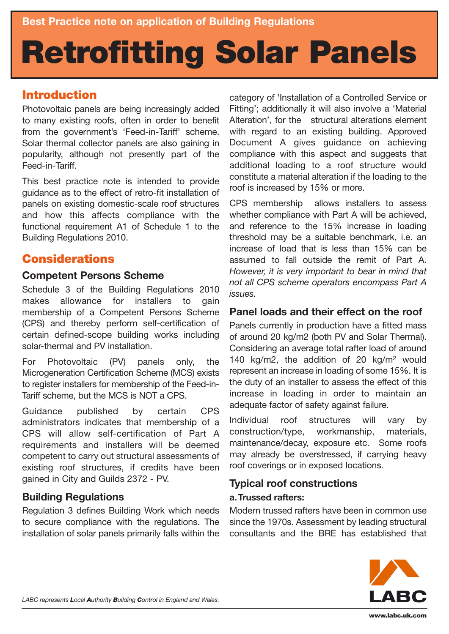# **Retrofitting Solar Panels**

# **Introduction**

Photovoltaic panels are being increasingly added to many existing roofs, often in order to benefit from the government's 'Feed-in-Tariff' scheme. Solar thermal collector panels are also gaining in popularity, although not presently part of the Feed-in-Tariff.

This best practice note is intended to provide guidance as to the effect of retro-fit installation of panels on existing domestic-scale roof structures and how this affects compliance with the functional requirement A1 of Schedule 1 to the Building Regulations 2010.

## **Considerations**

#### **Competent Persons Scheme**

Schedule 3 of the Building Regulations 2010 makes allowance for installers to gain membership of a Competent Persons Scheme (CPS) and thereby perform self-certification of certain defined-scope building works including solar-thermal and PV installation.

For Photovoltaic (PV) panels only, the Microgeneration Certification Scheme (MCS) exists to register installers for membership of the Feed-in-Tariff scheme, but the MCS is NOT a CPS.

Guidance published by certain CPS administrators indicates that membership of a CPS will allow self-certification of Part A requirements and installers will be deemed competent to carry out structural assessments of existing roof structures, if credits have been gained in City and Guilds 2372 - PV.

## **Building Regulations**

Regulation 3 defines Building Work which needs to secure compliance with the regulations. The installation of solar panels primarily falls within the category of 'Installation of a Controlled Service or Fitting'; additionally it will also involve a 'Material Alteration', for the structural alterations element with regard to an existing building. Approved Document A gives guidance on achieving compliance with this aspect and suggests that additional loading to a roof structure would constitute a material alteration if the loading to the roof is increased by 15% or more.

CPS membership allows installers to assess whether compliance with Part A will be achieved, and reference to the 15% increase in loading threshold may be a suitable benchmark, i.e. an increase of load that is less than 15% can be assumed to fall outside the remit of Part A. *However, it is very important to bear in mind that not all CPS scheme operators encompass Part A issues.* 

#### **Panel loads and their effect on the roof**

Panels currently in production have a fitted mass of around 20 kg/m2 (both PV and Solar Thermal). Considering an average total rafter load of around 140 kg/m2, the addition of 20 kg/m2 would represent an increase in loading of some 15%. It is the duty of an installer to assess the effect of this increase in loading in order to maintain an adequate factor of safety against failure.

Individual roof structures will vary by construction/type, workmanship, materials, maintenance/decay, exposure etc. Some roofs may already be overstressed, if carrying heavy roof coverings or in exposed locations.

## **Typical roof constructions**

#### **a.Trussed rafters:**

Modern trussed rafters have been in common use since the 1970s. Assessment by leading structural consultants and the BRE has established that

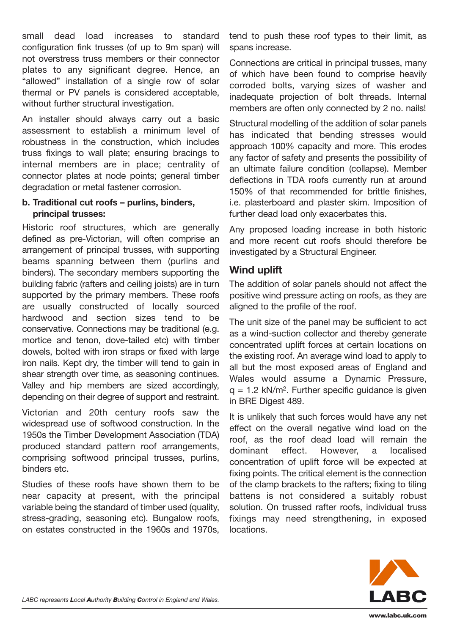small dead load increases to standard configuration fink trusses (of up to 9m span) will not overstress truss members or their connector plates to any significant degree. Hence, an "allowed" installation of a single row of solar thermal or PV panels is considered acceptable, without further structural investigation.

An installer should always carry out a basic assessment to establish a minimum level of robustness in the construction, which includes truss fixings to wall plate; ensuring bracings to internal members are in place; centrality of connector plates at node points; general timber degradation or metal fastener corrosion.

#### **b. Traditional cut roofs – purlins, binders, principal trusses:**

Historic roof structures, which are generally defined as pre-Victorian, will often comprise an arrangement of principal trusses, with supporting beams spanning between them (purlins and binders). The secondary members supporting the building fabric (rafters and ceiling joists) are in turn supported by the primary members. These roofs are usually constructed of locally sourced hardwood and section sizes tend to be conservative. Connections may be traditional (e.g. mortice and tenon, dove-tailed etc) with timber dowels, bolted with iron straps or fixed with large iron nails. Kept dry, the timber will tend to gain in shear strength over time, as seasoning continues. Valley and hip members are sized accordingly, depending on their degree of support and restraint.

Victorian and 20th century roofs saw the widespread use of softwood construction. In the 1950s the Timber Development Association (TDA) produced standard pattern roof arrangements, comprising softwood principal trusses, purlins, binders etc.

Studies of these roofs have shown them to be near capacity at present, with the principal variable being the standard of timber used (quality, stress-grading, seasoning etc). Bungalow roofs, on estates constructed in the 1960s and 1970s, tend to push these roof types to their limit, as spans increase.

Connections are critical in principal trusses, many of which have been found to comprise heavily corroded bolts, varying sizes of washer and inadequate projection of bolt threads. Internal members are often only connected by 2 no. nails!

Structural modelling of the addition of solar panels has indicated that bending stresses would approach 100% capacity and more. This erodes any factor of safety and presents the possibility of an ultimate failure condition (collapse). Member deflections in TDA roofs currently run at around 150% of that recommended for brittle finishes, i.e. plasterboard and plaster skim. Imposition of further dead load only exacerbates this.

Any proposed loading increase in both historic and more recent cut roofs should therefore be investigated by a Structural Engineer.

## **Wind uplift**

The addition of solar panels should not affect the positive wind pressure acting on roofs, as they are aligned to the profile of the roof.

The unit size of the panel may be sufficient to act as a wind-suction collector and thereby generate concentrated uplift forces at certain locations on the existing roof. An average wind load to apply to all but the most exposed areas of England and Wales would assume a Dynamic Pressure,  $q = 1.2$  kN/m<sup>2</sup>. Further specific guidance is given in BRE Digest 489.

It is unlikely that such forces would have any net effect on the overall negative wind load on the roof, as the roof dead load will remain the dominant effect. However, a localised concentration of uplift force will be expected at fixing points. The critical element is the connection of the clamp brackets to the rafters; fixing to tiling battens is not considered a suitably robust solution. On trussed rafter roofs, individual truss fixings may need strengthening, in exposed locations.